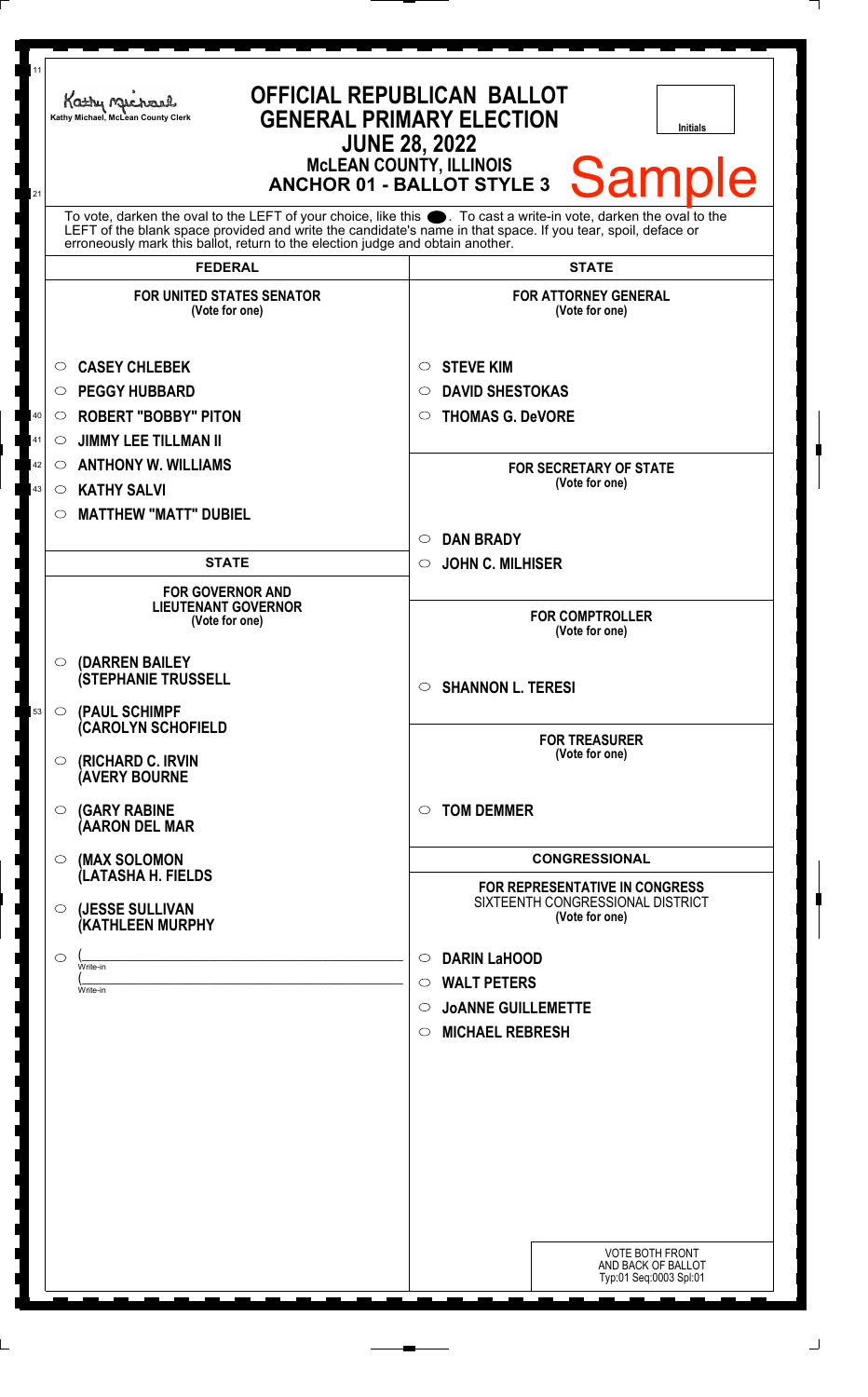| 11<br>21 | <b>OFFICIAL REPUBLICAN BALLOT</b><br>Kathy Michael<br><b>GENERAL PRIMARY ELECTION</b><br>Kathy Michael, McLean County Clerk<br><b>Initials</b><br><b>JUNE 28, 2022</b><br><b>McLEAN COUNTY, ILLINOIS</b><br><b>Sample</b><br><b>ANCHOR 01 - BALLOT STYLE 3</b>                                                      |                                                                                                                                              |  |
|----------|---------------------------------------------------------------------------------------------------------------------------------------------------------------------------------------------------------------------------------------------------------------------------------------------------------------------|----------------------------------------------------------------------------------------------------------------------------------------------|--|
|          | To vote, darken the oval to the LEFT of your choice, like this ●. To cast a write-in vote, darken the oval to the<br>LEFT of the blank space provided and write the candidate's name in that space. If you tear, spoil, deface or<br>erroneously mark this ballot, return to the election judge and obtain another. |                                                                                                                                              |  |
|          | <b>FEDERAL</b>                                                                                                                                                                                                                                                                                                      | <b>STATE</b>                                                                                                                                 |  |
|          | <b>FOR UNITED STATES SENATOR</b><br>(Vote for one)                                                                                                                                                                                                                                                                  | <b>FOR ATTORNEY GENERAL</b><br>(Vote for one)                                                                                                |  |
|          | <b>CASEY CHLEBEK</b><br>O                                                                                                                                                                                                                                                                                           | <b>STEVE KIM</b><br>O                                                                                                                        |  |
|          | <b>PEGGY HUBBARD</b><br>○                                                                                                                                                                                                                                                                                           | <b>DAVID SHESTOKAS</b><br>$\circlearrowright$                                                                                                |  |
| 40       | <b>ROBERT "BOBBY" PITON</b><br>$\circ$                                                                                                                                                                                                                                                                              | <b>THOMAS G. DeVORE</b><br>$\circ$                                                                                                           |  |
| 41       | <b>JIMMY LEE TILLMAN II</b><br>$\circ$                                                                                                                                                                                                                                                                              |                                                                                                                                              |  |
| 42       | <b>ANTHONY W. WILLIAMS</b><br>$\circ$                                                                                                                                                                                                                                                                               | <b>FOR SECRETARY OF STATE</b>                                                                                                                |  |
| 43       | <b>KATHY SALVI</b><br>$\circ$                                                                                                                                                                                                                                                                                       | (Vote for one)                                                                                                                               |  |
|          | <b>MATTHEW "MATT" DUBIEL</b><br>$\circ$                                                                                                                                                                                                                                                                             |                                                                                                                                              |  |
|          |                                                                                                                                                                                                                                                                                                                     | <b>DAN BRADY</b><br>$\circ$                                                                                                                  |  |
|          | <b>STATE</b>                                                                                                                                                                                                                                                                                                        | <b>JOHN C. MILHISER</b><br>$\circ$                                                                                                           |  |
|          | <b>FOR GOVERNOR AND</b><br><b>LIEUTENANT GOVERNOR</b><br>(Vote for one)                                                                                                                                                                                                                                             | <b>FOR COMPTROLLER</b><br>(Vote for one)                                                                                                     |  |
|          | (DARREN BAILEY<br>$\circ$<br><b>(STEPHANIE TRUSSELL</b>                                                                                                                                                                                                                                                             | <b>SHANNON L. TERESI</b><br>$\circ$                                                                                                          |  |
| 53       | (PAUL SCHIMPF<br>$\circ$<br>(CAROLYN SCHOFIELD<br><b>(RICHARD C. IRVIN</b><br>O<br><b>(AVERY BOURNE</b>                                                                                                                                                                                                             | <b>FOR TREASURER</b><br>(Vote for one)                                                                                                       |  |
|          | <b>(GARY RABINE</b><br>◯<br>(AARON DEL MAR                                                                                                                                                                                                                                                                          | <b>TOM DEMMER</b><br>$\circ$                                                                                                                 |  |
|          | (MAX SOLOMON<br>$\circ$                                                                                                                                                                                                                                                                                             | <b>CONGRESSIONAL</b>                                                                                                                         |  |
|          | (LATASHA H. FIELDS<br>(JESSE SULLIVAN<br>$\circ$<br>(KATHLEEN MURPHY                                                                                                                                                                                                                                                | FOR REPRESENTATIVE IN CONGRESS<br>SIXTEENTH CONGRESSIONAL DISTRICT<br>(Vote for one)                                                         |  |
|          | ◯<br>Write-in<br>Write-in                                                                                                                                                                                                                                                                                           | <b>DARIN LaHOOD</b><br>$\circ$<br><b>WALT PETERS</b><br>$\circ$<br><b>JOANNE GUILLEMETTE</b><br>$\circ$<br><b>MICHAEL REBRESH</b><br>$\circ$ |  |
|          |                                                                                                                                                                                                                                                                                                                     | <b>VOTE BOTH FRONT</b><br>AND BACK OF BALLOT<br>Typ:01 Seq:0003 Spl:01                                                                       |  |

٦

٦  $\overline{\phantom{a}}$ 

٦

I 

٦

]<br>]<br>]

j J ر<br>ر

> $\overline{a}$ I

<u>ן</u> ٦ Ī I ٦ ٦

 $\overline{a}$ I <u>ן</u> J J

|<br>|<br>|

 $\overline{\phantom{a}}$ 

٦ 

]<br>]

 $\overline{\phantom{a}}$ 

 $\overline{\phantom{a}}$ J

|<br>|<br>|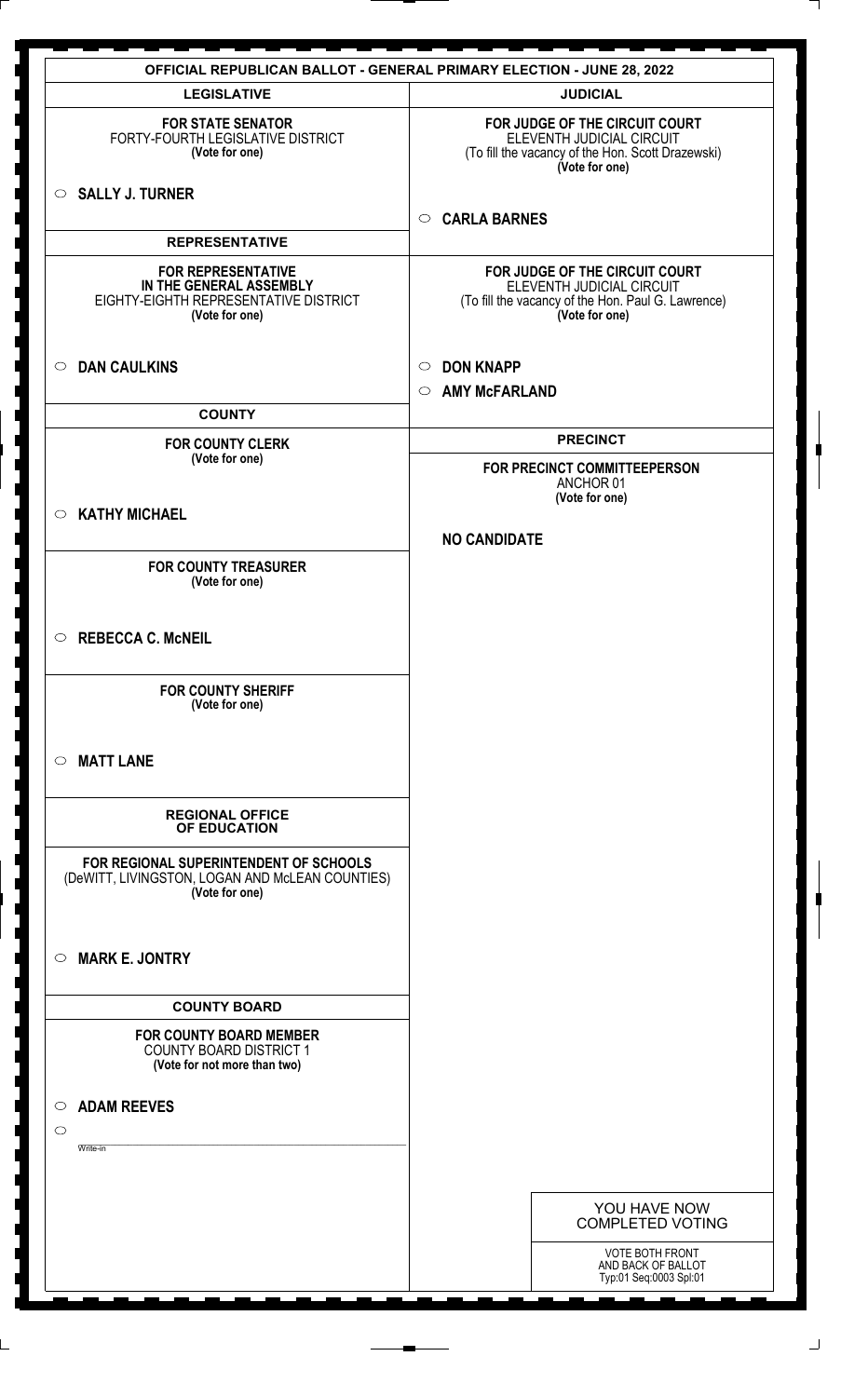|                                                                                                                 | <b>OFFICIAL REPUBLICAN BALLOT - GENERAL PRIMARY ELECTION - JUNE 28, 2022</b>                                                        |
|-----------------------------------------------------------------------------------------------------------------|-------------------------------------------------------------------------------------------------------------------------------------|
| <b>LEGISLATIVE</b>                                                                                              | <b>JUDICIAL</b>                                                                                                                     |
| <b>FOR STATE SENATOR</b><br>FORTY-FOURTH LEGISLATIVE DISTRICT<br>(Vote for one)                                 | FOR JUDGE OF THE CIRCUIT COURT<br>ELEVENTH JUDICIAL CIRCUIT<br>(To fill the vacancy of the Hon. Scott Drazewski)<br>(Vote for one)  |
| $\circ$ SALLY J. TURNER                                                                                         | <b>CARLA BARNES</b><br>$\circ$                                                                                                      |
| <b>REPRESENTATIVE</b>                                                                                           |                                                                                                                                     |
| <b>FOR REPRESENTATIVE</b><br>IN THE GENERAL ASSEMBLY<br>EIGHTY-EIGHTH REPRESENTATIVE DISTRICT<br>(Vote for one) | FOR JUDGE OF THE CIRCUIT COURT<br>ELEVENTH JUDICIAL CIRCUIT<br>(To fill the vacancy of the Hon. Paul G. Lawrence)<br>(Vote for one) |
| <b>DAN CAULKINS</b><br>$\circ$                                                                                  | <b>DON KNAPP</b><br>$\circ$<br><b>AMY McFARLAND</b><br>$\circ$                                                                      |
| <b>COUNTY</b>                                                                                                   |                                                                                                                                     |
| <b>FOR COUNTY CLERK</b>                                                                                         | <b>PRECINCT</b>                                                                                                                     |
| (Vote for one)                                                                                                  | FOR PRECINCT COMMITTEEPERSON<br>ANCHOR 01                                                                                           |
| $\circ$ KATHY MICHAEL                                                                                           | (Vote for one)                                                                                                                      |
|                                                                                                                 | <b>NO CANDIDATE</b>                                                                                                                 |
| <b>FOR COUNTY TREASURER</b><br>(Vote for one)                                                                   |                                                                                                                                     |
| $\circ$ REBECCA C. McNEIL                                                                                       |                                                                                                                                     |
| <b>FOR COUNTY SHERIFF</b><br>(Vote for one)                                                                     |                                                                                                                                     |
| <b>MATT LANE</b><br>$\circ$                                                                                     |                                                                                                                                     |
| <b>REGIONAL OFFICE</b><br>OF EDUCATION                                                                          |                                                                                                                                     |
| FOR REGIONAL SUPERINTENDENT OF SCHOOLS<br>(DeWITT, LIVINGSTON, LOGAN AND McLEAN COUNTIES)<br>(Vote for one)     |                                                                                                                                     |
| <b>MARK E. JONTRY</b><br>$\circ$                                                                                |                                                                                                                                     |
| <b>COUNTY BOARD</b>                                                                                             |                                                                                                                                     |
| <b>FOR COUNTY BOARD MEMBER</b><br><b>COUNTY BOARD DISTRICT 1</b><br>(Vote for not more than two)                |                                                                                                                                     |
| <b>ADAM REEVES</b><br>$\circ$                                                                                   |                                                                                                                                     |
| $\circ$                                                                                                         |                                                                                                                                     |
| Write-in                                                                                                        |                                                                                                                                     |
|                                                                                                                 |                                                                                                                                     |
|                                                                                                                 | YOU HAVE NOW<br><b>COMPLETED VOTING</b>                                                                                             |
|                                                                                                                 |                                                                                                                                     |
|                                                                                                                 | <b>VOTE BOTH FRONT</b><br>AND BACK OF BALLOT<br>Typ:01 Seq:0003 Spl:01                                                              |
|                                                                                                                 |                                                                                                                                     |

Ī

 $\overline{\phantom{a}}$  $\overline{a}$ ٦ ٦

I I

 $\overline{\phantom{a}}$ I

 $\overline{\phantom{a}}$ 

]<br>L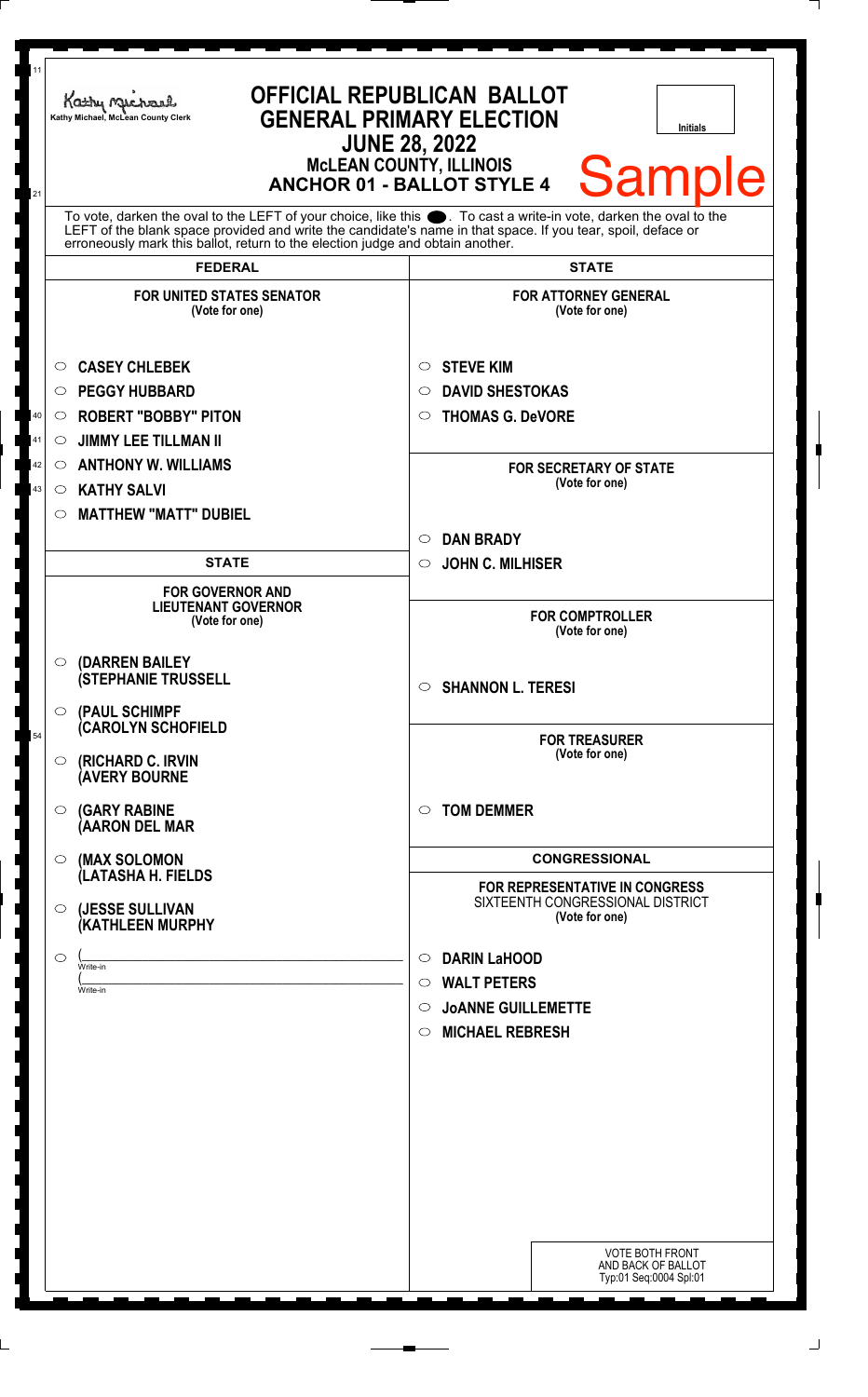| 11<br>21                                                                                                                                                                                                                                                                                                                     | Kathy Michael<br>Kathy Michael, McLean County Clerk                                                                                                                                                                                                             | <b>OFFICIAL REPUBLICAN BALLOT</b><br><b>GENERAL PRIMARY ELECTION</b><br><b>Initials</b><br><b>JUNE 28, 2022</b><br><b>McLEAN COUNTY, ILLINOIS</b><br><b>Sample</b><br><b>ANCHOR 01 - BALLOT STYLE 4</b>                 |
|------------------------------------------------------------------------------------------------------------------------------------------------------------------------------------------------------------------------------------------------------------------------------------------------------------------------------|-----------------------------------------------------------------------------------------------------------------------------------------------------------------------------------------------------------------------------------------------------------------|-------------------------------------------------------------------------------------------------------------------------------------------------------------------------------------------------------------------------|
| To vote, darken the oval to the LEFT of your choice, like this $\bullet$ . To cast a write-in vote, darken the oval to the<br>LEFT of the blank space provided and write the candidate's name in that space. If you tear, spoil, deface or<br>erroneously mark this ballot, return to the election judge and obtain another. |                                                                                                                                                                                                                                                                 |                                                                                                                                                                                                                         |
|                                                                                                                                                                                                                                                                                                                              | <b>FEDERAL</b><br><b>FOR UNITED STATES SENATOR</b><br>(Vote for one)                                                                                                                                                                                            | <b>STATE</b><br><b>FOR ATTORNEY GENERAL</b><br>(Vote for one)                                                                                                                                                           |
| 40<br>41<br>42<br>43                                                                                                                                                                                                                                                                                                         | <b>CASEY CHLEBEK</b><br>O<br><b>PEGGY HUBBARD</b><br>O<br><b>ROBERT "BOBBY" PITON</b><br>$\circ$<br><b>JIMMY LEE TILLMAN II</b><br>$\circ$<br><b>ANTHONY W. WILLIAMS</b><br>$\circ$<br><b>KATHY SALVI</b><br>$\circ$<br><b>MATTHEW "MATT" DUBIEL</b><br>$\circ$ | <b>STEVE KIM</b><br>$\circ$<br><b>DAVID SHESTOKAS</b><br>$\circ$<br><b>THOMAS G. DeVORE</b><br>$\circ$<br><b>FOR SECRETARY OF STATE</b><br>(Vote for one)<br><b>DAN BRADY</b><br>$\circ$                                |
|                                                                                                                                                                                                                                                                                                                              | <b>STATE</b>                                                                                                                                                                                                                                                    | <b>JOHN C. MILHISER</b><br>$\circ$                                                                                                                                                                                      |
|                                                                                                                                                                                                                                                                                                                              | <b>FOR GOVERNOR AND</b><br><b>LIEUTENANT GOVERNOR</b><br>(Vote for one)<br>(DARREN BAILEY<br>$\circ$<br><b>(STEPHANIE TRUSSELL</b>                                                                                                                              | <b>FOR COMPTROLLER</b><br>(Vote for one)                                                                                                                                                                                |
| 54                                                                                                                                                                                                                                                                                                                           | (PAUL SCHIMPF<br>$\circ$<br><b>CAROLYN SCHOFIELD</b><br>(RICHARD C. IRVIN<br>$\circ$<br><b>(AVERY BOURNE</b>                                                                                                                                                    | <b>SHANNON L. TERESI</b><br>$\circ$<br><b>FOR TREASURER</b><br>(Vote for one)                                                                                                                                           |
|                                                                                                                                                                                                                                                                                                                              | <b>(GARY RABINE</b><br>$\circ$<br>(AARON DEL MAR                                                                                                                                                                                                                | $\circ$ TOM DEMMER                                                                                                                                                                                                      |
|                                                                                                                                                                                                                                                                                                                              | (MAX SOLOMON<br>$\circ$<br>(LATASHA H. FIELDS<br>(JESSE SULLIVAN<br>$\circ$<br>(KATHLEEN MURPHY<br>O<br>Write-in<br>Write-in                                                                                                                                    | <b>CONGRESSIONAL</b><br>FOR REPRESENTATIVE IN CONGRESS<br>SIXTEENTH CONGRESSIONAL DISTRICT<br>(Vote for one)<br><b>DARIN LaHOOD</b><br>$\circ$<br><b>WALT PETERS</b><br>$\circ$<br><b>JOANNE GUILLEMETTE</b><br>$\circ$ |
|                                                                                                                                                                                                                                                                                                                              |                                                                                                                                                                                                                                                                 | <b>MICHAEL REBRESH</b><br>$\circ$<br><b>VOTE BOTH FRONT</b><br>AND BACK OF BALLOT<br>Typ:01 Seq:0004 Spl:01                                                                                                             |

Ī

٦

I ٦

]<br>]<br>]

 $\overline{\phantom{a}}$ J ر<br>ر

I

٦ ٦  $\overline{a}$ <u>ן</u> ٦

 $\overline{a}$ <u>ן</u> J  $\overline{a}$ j j

J

٦

٦  $\overline{\phantom{a}}$ 

]<br>]

 $\overline{\phantom{a}}$ 

 $\frac{1}{1}$